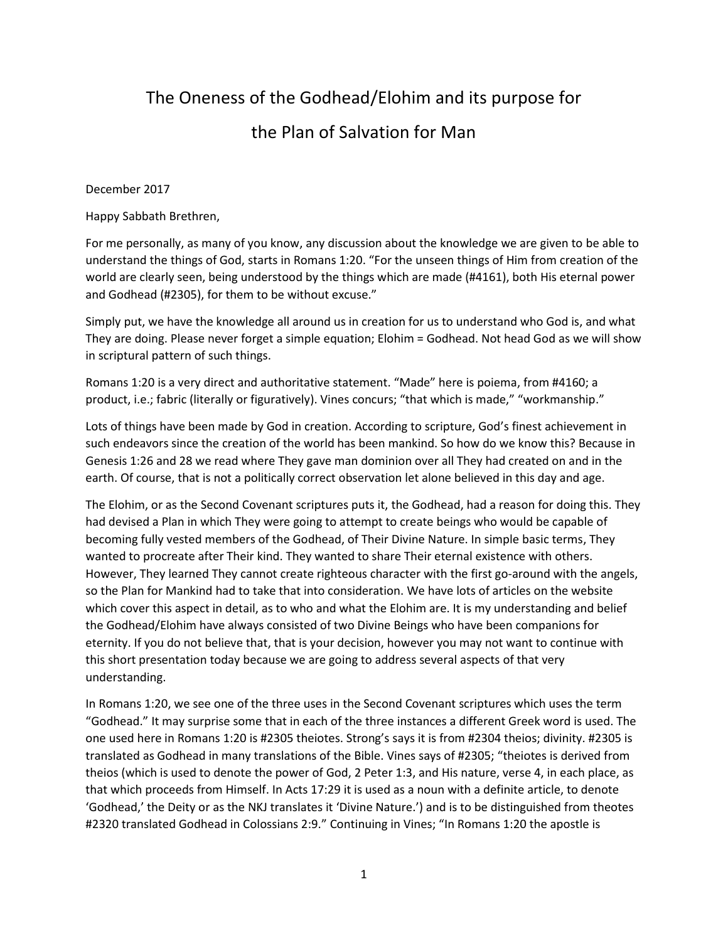# The Oneness of the Godhead/Elohim and its purpose for the Plan of Salvation for Man

### December 2017

Happy Sabbath Brethren,

For me personally, as many of you know, any discussion about the knowledge we are given to be able to understand the things of God, starts in Romans 1:20. "For the unseen things of Him from creation of the world are clearly seen, being understood by the things which are made (#4161), both His eternal power and Godhead (#2305), for them to be without excuse."

Simply put, we have the knowledge all around us in creation for us to understand who God is, and what They are doing. Please never forget a simple equation; Elohim = Godhead. Not head God as we will show in scriptural pattern of such things.

Romans 1:20 is a very direct and authoritative statement. "Made" here is poiema, from #4160; a product, i.e.; fabric (literally or figuratively). Vines concurs; "that which is made," "workmanship."

Lots of things have been made by God in creation. According to scripture, God's finest achievement in such endeavors since the creation of the world has been mankind. So how do we know this? Because in Genesis 1:26 and 28 we read where They gave man dominion over all They had created on and in the earth. Of course, that is not a politically correct observation let alone believed in this day and age.

The Elohim, or as the Second Covenant scriptures puts it, the Godhead, had a reason for doing this. They had devised a Plan in which They were going to attempt to create beings who would be capable of becoming fully vested members of the Godhead, of Their Divine Nature. In simple basic terms, They wanted to procreate after Their kind. They wanted to share Their eternal existence with others. However, They learned They cannot create righteous character with the first go-around with the angels, so the Plan for Mankind had to take that into consideration. We have lots of articles on the website which cover this aspect in detail, as to who and what the Elohim are. It is my understanding and belief the Godhead/Elohim have always consisted of two Divine Beings who have been companions for eternity. If you do not believe that, that is your decision, however you may not want to continue with this short presentation today because we are going to address several aspects of that very understanding.

In Romans 1:20, we see one of the three uses in the Second Covenant scriptures which uses the term "Godhead." It may surprise some that in each of the three instances a different Greek word is used. The one used here in Romans 1:20 is #2305 theiotes. Strong's says it is from #2304 theios; divinity. #2305 is translated as Godhead in many translations of the Bible. Vines says of #2305; "theiotes is derived from theios (which is used to denote the power of God, 2 Peter 1:3, and His nature, verse 4, in each place, as that which proceeds from Himself. In Acts 17:29 it is used as a noun with a definite article, to denote 'Godhead,' the Deity or as the NKJ translates it 'Divine Nature.') and is to be distinguished from theotes #2320 translated Godhead in Colossians 2:9." Continuing in Vines; "In Romans 1:20 the apostle is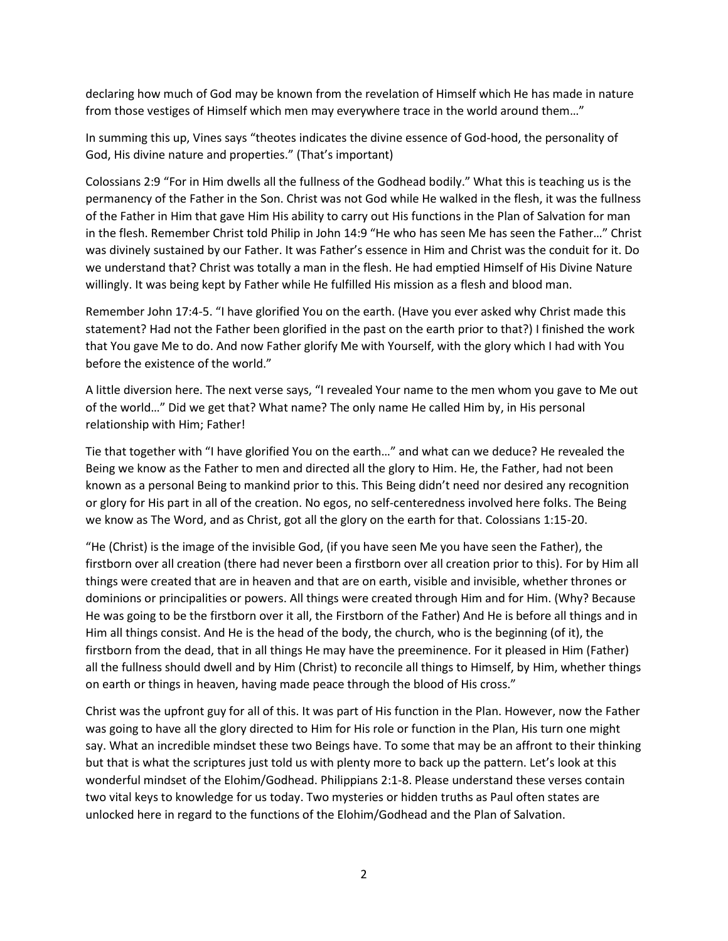declaring how much of God may be known from the revelation of Himself which He has made in nature from those vestiges of Himself which men may everywhere trace in the world around them…"

In summing this up, Vines says "theotes indicates the divine essence of God-hood, the personality of God, His divine nature and properties." (That's important)

Colossians 2:9 "For in Him dwells all the fullness of the Godhead bodily." What this is teaching us is the permanency of the Father in the Son. Christ was not God while He walked in the flesh, it was the fullness of the Father in Him that gave Him His ability to carry out His functions in the Plan of Salvation for man in the flesh. Remember Christ told Philip in John 14:9 "He who has seen Me has seen the Father…" Christ was divinely sustained by our Father. It was Father's essence in Him and Christ was the conduit for it. Do we understand that? Christ was totally a man in the flesh. He had emptied Himself of His Divine Nature willingly. It was being kept by Father while He fulfilled His mission as a flesh and blood man.

Remember John 17:4-5. "I have glorified You on the earth. (Have you ever asked why Christ made this statement? Had not the Father been glorified in the past on the earth prior to that?) I finished the work that You gave Me to do. And now Father glorify Me with Yourself, with the glory which I had with You before the existence of the world."

A little diversion here. The next verse says, "I revealed Your name to the men whom you gave to Me out of the world…" Did we get that? What name? The only name He called Him by, in His personal relationship with Him; Father!

Tie that together with "I have glorified You on the earth…" and what can we deduce? He revealed the Being we know as the Father to men and directed all the glory to Him. He, the Father, had not been known as a personal Being to mankind prior to this. This Being didn't need nor desired any recognition or glory for His part in all of the creation. No egos, no self-centeredness involved here folks. The Being we know as The Word, and as Christ, got all the glory on the earth for that. Colossians 1:15-20.

"He (Christ) is the image of the invisible God, (if you have seen Me you have seen the Father), the firstborn over all creation (there had never been a firstborn over all creation prior to this). For by Him all things were created that are in heaven and that are on earth, visible and invisible, whether thrones or dominions or principalities or powers. All things were created through Him and for Him. (Why? Because He was going to be the firstborn over it all, the Firstborn of the Father) And He is before all things and in Him all things consist. And He is the head of the body, the church, who is the beginning (of it), the firstborn from the dead, that in all things He may have the preeminence. For it pleased in Him (Father) all the fullness should dwell and by Him (Christ) to reconcile all things to Himself, by Him, whether things on earth or things in heaven, having made peace through the blood of His cross."

Christ was the upfront guy for all of this. It was part of His function in the Plan. However, now the Father was going to have all the glory directed to Him for His role or function in the Plan, His turn one might say. What an incredible mindset these two Beings have. To some that may be an affront to their thinking but that is what the scriptures just told us with plenty more to back up the pattern. Let's look at this wonderful mindset of the Elohim/Godhead. Philippians 2:1-8. Please understand these verses contain two vital keys to knowledge for us today. Two mysteries or hidden truths as Paul often states are unlocked here in regard to the functions of the Elohim/Godhead and the Plan of Salvation.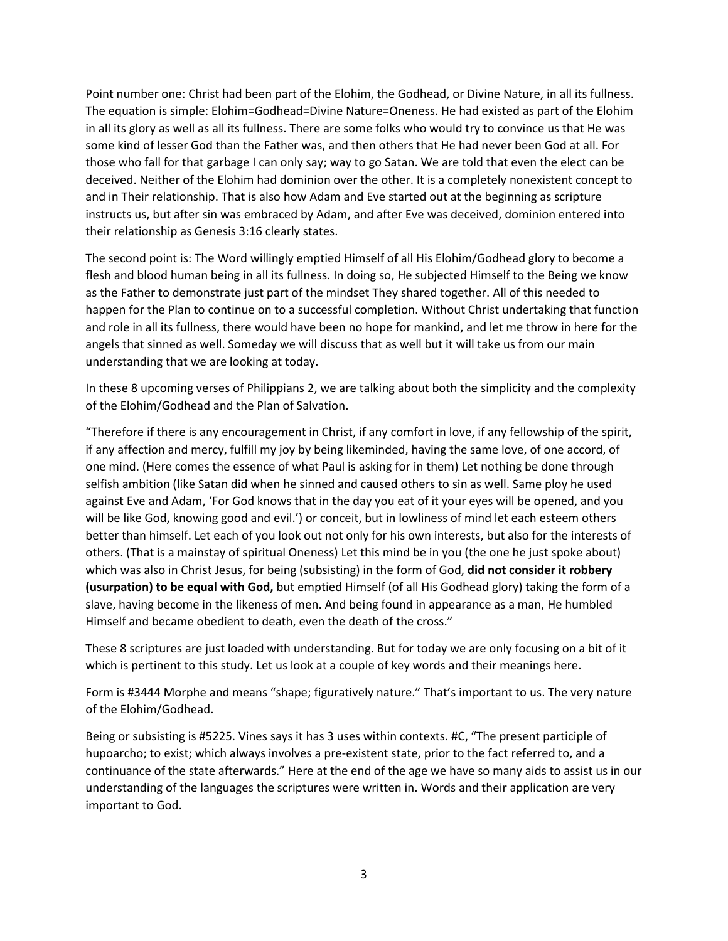Point number one: Christ had been part of the Elohim, the Godhead, or Divine Nature, in all its fullness. The equation is simple: Elohim=Godhead=Divine Nature=Oneness. He had existed as part of the Elohim in all its glory as well as all its fullness. There are some folks who would try to convince us that He was some kind of lesser God than the Father was, and then others that He had never been God at all. For those who fall for that garbage I can only say; way to go Satan. We are told that even the elect can be deceived. Neither of the Elohim had dominion over the other. It is a completely nonexistent concept to and in Their relationship. That is also how Adam and Eve started out at the beginning as scripture instructs us, but after sin was embraced by Adam, and after Eve was deceived, dominion entered into their relationship as Genesis 3:16 clearly states.

The second point is: The Word willingly emptied Himself of all His Elohim/Godhead glory to become a flesh and blood human being in all its fullness. In doing so, He subjected Himself to the Being we know as the Father to demonstrate just part of the mindset They shared together. All of this needed to happen for the Plan to continue on to a successful completion. Without Christ undertaking that function and role in all its fullness, there would have been no hope for mankind, and let me throw in here for the angels that sinned as well. Someday we will discuss that as well but it will take us from our main understanding that we are looking at today.

In these 8 upcoming verses of Philippians 2, we are talking about both the simplicity and the complexity of the Elohim/Godhead and the Plan of Salvation.

"Therefore if there is any encouragement in Christ, if any comfort in love, if any fellowship of the spirit, if any affection and mercy, fulfill my joy by being likeminded, having the same love, of one accord, of one mind. (Here comes the essence of what Paul is asking for in them) Let nothing be done through selfish ambition (like Satan did when he sinned and caused others to sin as well. Same ploy he used against Eve and Adam, 'For God knows that in the day you eat of it your eyes will be opened, and you will be like God, knowing good and evil.') or conceit, but in lowliness of mind let each esteem others better than himself. Let each of you look out not only for his own interests, but also for the interests of others. (That is a mainstay of spiritual Oneness) Let this mind be in you (the one he just spoke about) which was also in Christ Jesus, for being (subsisting) in the form of God, **did not consider it robbery (usurpation) to be equal with God,** but emptied Himself (of all His Godhead glory) taking the form of a slave, having become in the likeness of men. And being found in appearance as a man, He humbled Himself and became obedient to death, even the death of the cross."

These 8 scriptures are just loaded with understanding. But for today we are only focusing on a bit of it which is pertinent to this study. Let us look at a couple of key words and their meanings here.

Form is #3444 Morphe and means "shape; figuratively nature." That's important to us. The very nature of the Elohim/Godhead.

Being or subsisting is #5225. Vines says it has 3 uses within contexts. #C, "The present participle of hupoarcho; to exist; which always involves a pre-existent state, prior to the fact referred to, and a continuance of the state afterwards." Here at the end of the age we have so many aids to assist us in our understanding of the languages the scriptures were written in. Words and their application are very important to God.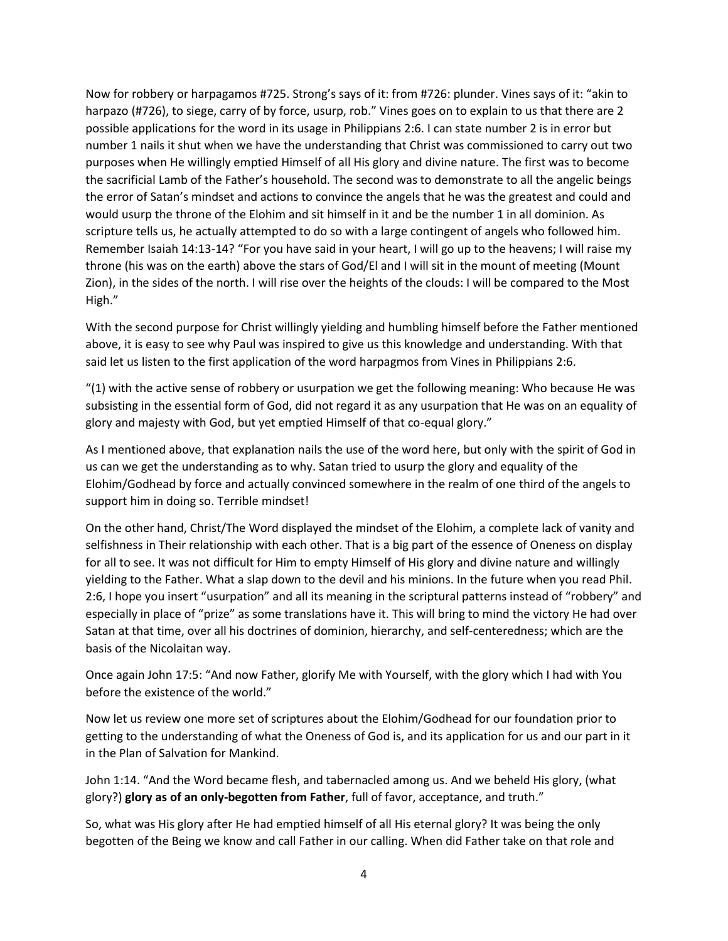Now for robbery or harpagamos #725. Strong's says of it: from #726: plunder. Vines says of it: "akin to harpazo (#726), to siege, carry of by force, usurp, rob." Vines goes on to explain to us that there are 2 possible applications for the word in its usage in Philippians 2:6. I can state number 2 is in error but number 1 nails it shut when we have the understanding that Christ was commissioned to carry out two purposes when He willingly emptied Himself of all His glory and divine nature. The first was to become the sacrificial Lamb of the Father's household. The second was to demonstrate to all the angelic beings the error of Satan's mindset and actions to convince the angels that he was the greatest and could and would usurp the throne of the Elohim and sit himself in it and be the number 1 in all dominion. As scripture tells us, he actually attempted to do so with a large contingent of angels who followed him. Remember Isaiah 14:13-14? "For you have said in your heart, I will go up to the heavens; I will raise my throne (his was on the earth) above the stars of God/El and I will sit in the mount of meeting (Mount Zion), in the sides of the north. I will rise over the heights of the clouds: I will be compared to the Most High."

With the second purpose for Christ willingly yielding and humbling himself before the Father mentioned above, it is easy to see why Paul was inspired to give us this knowledge and understanding. With that said let us listen to the first application of the word harpagmos from Vines in Philippians 2:6.

" $(1)$  with the active sense of robbery or usurpation we get the following meaning: Who because He was subsisting in the essential form of God, did not regard it as any usurpation that He was on an equality of glory and majesty with God, but yet emptied Himself of that co-equal glory."

As I mentioned above, that explanation nails the use of the word here, but only with the spirit of God in us can we get the understanding as to why. Satan tried to usurp the glory and equality of the Elohim/Godhead by force and actually convinced somewhere in the realm of one third of the angels to support him in doing so. Terrible mindset!

On the other hand, Christ/The Word displayed the mindset of the Elohim, a complete lack of vanity and selfishness in Their relationship with each other. That is a big part of the essence of Oneness on display for all to see. It was not difficult for Him to empty Himself of His glory and divine nature and willingly yielding to the Father. What a slap down to the devil and his minions. In the future when you read Phil. 2:6, I hope you insert "usurpation" and all its meaning in the scriptural patterns instead of "robbery" and especially in place of "prize" as some translations have it. This will bring to mind the victory He had over Satan at that time, over all his doctrines of dominion, hierarchy, and self-centeredness; which are the basis of the Nicolaitan way.

Once again John 17:5: "And now Father, glorify Me with Yourself, with the glory which I had with You before the existence of the world."

Now let us review one more set of scriptures about the Elohim/Godhead for our foundation prior to getting to the understanding of what the Oneness of God is, and its application for us and our part in it in the Plan of Salvation for Mankind.

John 1:14. "And the Word became flesh, and tabernacled among us. And we beheld His glory, (what glory?) **glory as of an only-begotten from Father**, full of favor, acceptance, and truth."

So, what was His glory after He had emptied himself of all His eternal glory? It was being the only begotten of the Being we know and call Father in our calling. When did Father take on that role and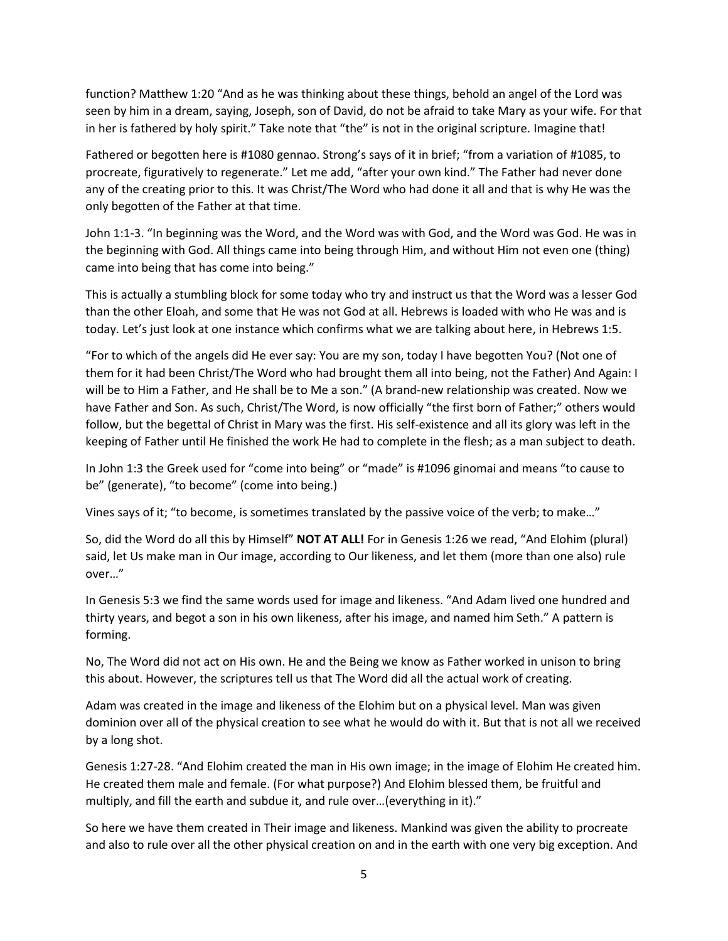function? Matthew 1:20 "And as he was thinking about these things, behold an angel of the Lord was seen by him in a dream, saying, Joseph, son of David, do not be afraid to take Mary as your wife. For that in her is fathered by holy spirit." Take note that "the" is not in the original scripture. Imagine that!

Fathered or begotten here is #1080 gennao. Strong's says of it in brief; "from a variation of #1085, to procreate, figuratively to regenerate." Let me add, "after your own kind." The Father had never done any of the creating prior to this. It was Christ/The Word who had done it all and that is why He was the only begotten of the Father at that time.

John 1:1-3. "In beginning was the Word, and the Word was with God, and the Word was God. He was in the beginning with God. All things came into being through Him, and without Him not even one (thing) came into being that has come into being."

This is actually a stumbling block for some today who try and instruct us that the Word was a lesser God than the other Eloah, and some that He was not God at all. Hebrews is loaded with who He was and is today. Let's just look at one instance which confirms what we are talking about here, in Hebrews 1:5.

"For to which of the angels did He ever say: You are my son, today I have begotten You? (Not one of them for it had been Christ/The Word who had brought them all into being, not the Father) And Again: I will be to Him a Father, and He shall be to Me a son." (A brand-new relationship was created. Now we have Father and Son. As such, Christ/The Word, is now officially "the first born of Father;" others would follow, but the begettal of Christ in Mary was the first. His self-existence and all its glory was left in the keeping of Father until He finished the work He had to complete in the flesh; as a man subject to death.

In John 1:3 the Greek used for "come into being" or "made" is #1096 ginomai and means "to cause to be" (generate), "to become" (come into being.)

Vines says of it; "to become, is sometimes translated by the passive voice of the verb; to make…"

So, did the Word do all this by Himself" **NOT AT ALL!** For in Genesis 1:26 we read, "And Elohim (plural) said, let Us make man in Our image, according to Our likeness, and let them (more than one also) rule over…"

In Genesis 5:3 we find the same words used for image and likeness. "And Adam lived one hundred and thirty years, and begot a son in his own likeness, after his image, and named him Seth." A pattern is forming.

No, The Word did not act on His own. He and the Being we know as Father worked in unison to bring this about. However, the scriptures tell us that The Word did all the actual work of creating.

Adam was created in the image and likeness of the Elohim but on a physical level. Man was given dominion over all of the physical creation to see what he would do with it. But that is not all we received by a long shot.

Genesis 1:27-28. "And Elohim created the man in His own image; in the image of Elohim He created him. He created them male and female. (For what purpose?) And Elohim blessed them, be fruitful and multiply, and fill the earth and subdue it, and rule over…(everything in it)."

So here we have them created in Their image and likeness. Mankind was given the ability to procreate and also to rule over all the other physical creation on and in the earth with one very big exception. And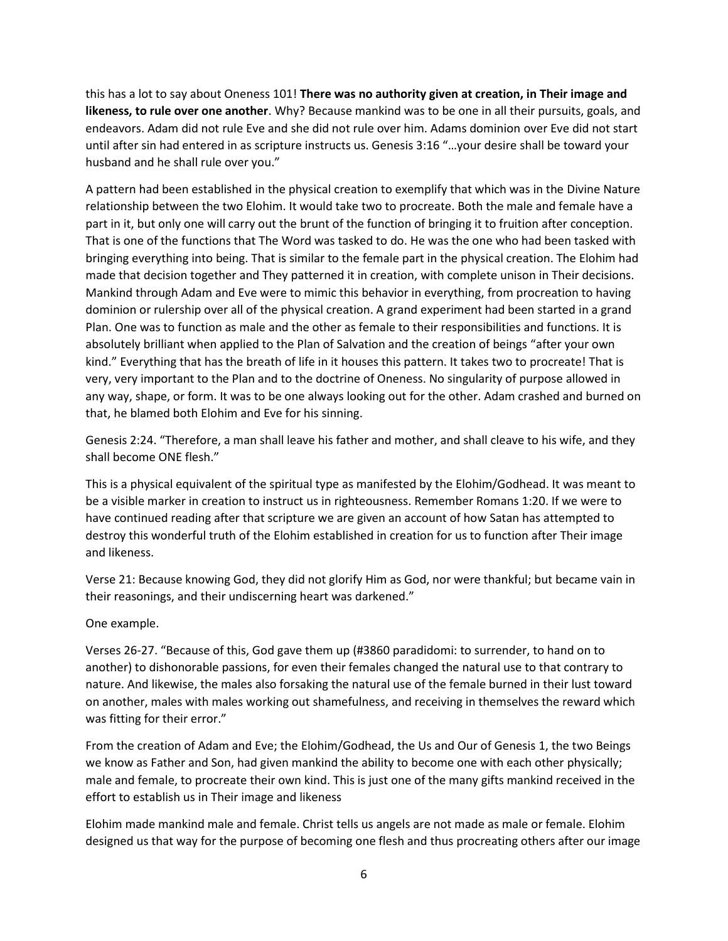this has a lot to say about Oneness 101! **There was no authority given at creation, in Their image and likeness, to rule over one another**. Why? Because mankind was to be one in all their pursuits, goals, and endeavors. Adam did not rule Eve and she did not rule over him. Adams dominion over Eve did not start until after sin had entered in as scripture instructs us. Genesis 3:16 "…your desire shall be toward your husband and he shall rule over you."

A pattern had been established in the physical creation to exemplify that which was in the Divine Nature relationship between the two Elohim. It would take two to procreate. Both the male and female have a part in it, but only one will carry out the brunt of the function of bringing it to fruition after conception. That is one of the functions that The Word was tasked to do. He was the one who had been tasked with bringing everything into being. That is similar to the female part in the physical creation. The Elohim had made that decision together and They patterned it in creation, with complete unison in Their decisions. Mankind through Adam and Eve were to mimic this behavior in everything, from procreation to having dominion or rulership over all of the physical creation. A grand experiment had been started in a grand Plan. One was to function as male and the other as female to their responsibilities and functions. It is absolutely brilliant when applied to the Plan of Salvation and the creation of beings "after your own kind." Everything that has the breath of life in it houses this pattern. It takes two to procreate! That is very, very important to the Plan and to the doctrine of Oneness. No singularity of purpose allowed in any way, shape, or form. It was to be one always looking out for the other. Adam crashed and burned on that, he blamed both Elohim and Eve for his sinning.

Genesis 2:24. "Therefore, a man shall leave his father and mother, and shall cleave to his wife, and they shall become ONE flesh."

This is a physical equivalent of the spiritual type as manifested by the Elohim/Godhead. It was meant to be a visible marker in creation to instruct us in righteousness. Remember Romans 1:20. If we were to have continued reading after that scripture we are given an account of how Satan has attempted to destroy this wonderful truth of the Elohim established in creation for us to function after Their image and likeness.

Verse 21: Because knowing God, they did not glorify Him as God, nor were thankful; but became vain in their reasonings, and their undiscerning heart was darkened."

#### One example.

Verses 26-27. "Because of this, God gave them up (#3860 paradidomi: to surrender, to hand on to another) to dishonorable passions, for even their females changed the natural use to that contrary to nature. And likewise, the males also forsaking the natural use of the female burned in their lust toward on another, males with males working out shamefulness, and receiving in themselves the reward which was fitting for their error."

From the creation of Adam and Eve; the Elohim/Godhead, the Us and Our of Genesis 1, the two Beings we know as Father and Son, had given mankind the ability to become one with each other physically; male and female, to procreate their own kind. This is just one of the many gifts mankind received in the effort to establish us in Their image and likeness

Elohim made mankind male and female. Christ tells us angels are not made as male or female. Elohim designed us that way for the purpose of becoming one flesh and thus procreating others after our image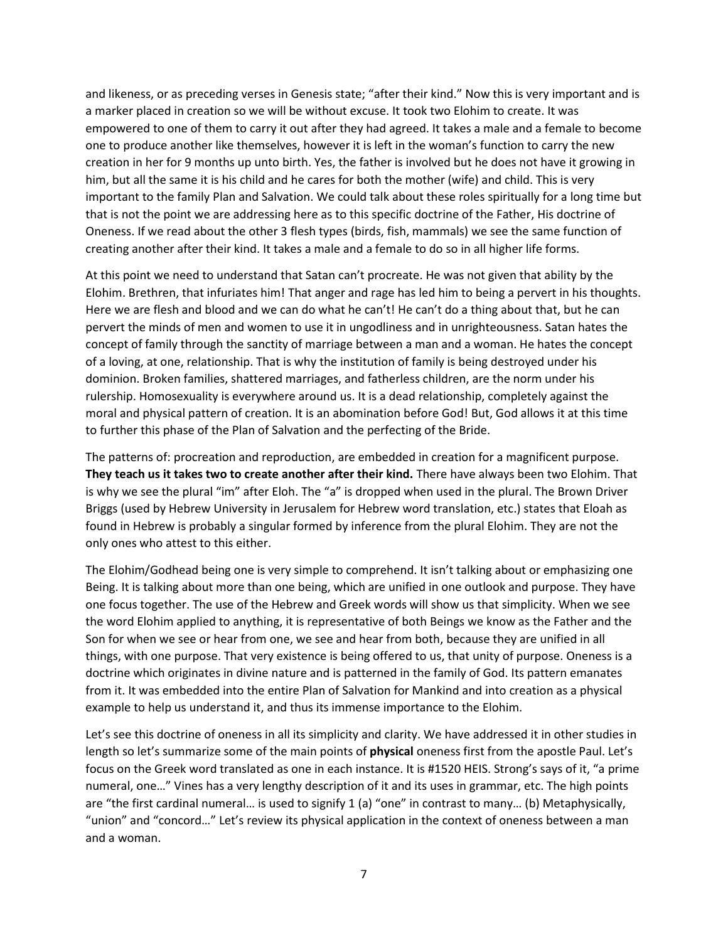and likeness, or as preceding verses in Genesis state; "after their kind." Now this is very important and is a marker placed in creation so we will be without excuse. It took two Elohim to create. It was empowered to one of them to carry it out after they had agreed. It takes a male and a female to become one to produce another like themselves, however it is left in the woman's function to carry the new creation in her for 9 months up unto birth. Yes, the father is involved but he does not have it growing in him, but all the same it is his child and he cares for both the mother (wife) and child. This is very important to the family Plan and Salvation. We could talk about these roles spiritually for a long time but that is not the point we are addressing here as to this specific doctrine of the Father, His doctrine of Oneness. If we read about the other 3 flesh types (birds, fish, mammals) we see the same function of creating another after their kind. It takes a male and a female to do so in all higher life forms.

At this point we need to understand that Satan can't procreate. He was not given that ability by the Elohim. Brethren, that infuriates him! That anger and rage has led him to being a pervert in his thoughts. Here we are flesh and blood and we can do what he can't! He can't do a thing about that, but he can pervert the minds of men and women to use it in ungodliness and in unrighteousness. Satan hates the concept of family through the sanctity of marriage between a man and a woman. He hates the concept of a loving, at one, relationship. That is why the institution of family is being destroyed under his dominion. Broken families, shattered marriages, and fatherless children, are the norm under his rulership. Homosexuality is everywhere around us. It is a dead relationship, completely against the moral and physical pattern of creation. It is an abomination before God! But, God allows it at this time to further this phase of the Plan of Salvation and the perfecting of the Bride.

The patterns of: procreation and reproduction, are embedded in creation for a magnificent purpose. **They teach us it takes two to create another after their kind.** There have always been two Elohim. That is why we see the plural "im" after Eloh. The "a" is dropped when used in the plural. The Brown Driver Briggs (used by Hebrew University in Jerusalem for Hebrew word translation, etc.) states that Eloah as found in Hebrew is probably a singular formed by inference from the plural Elohim. They are not the only ones who attest to this either.

The Elohim/Godhead being one is very simple to comprehend. It isn't talking about or emphasizing one Being. It is talking about more than one being, which are unified in one outlook and purpose. They have one focus together. The use of the Hebrew and Greek words will show us that simplicity. When we see the word Elohim applied to anything, it is representative of both Beings we know as the Father and the Son for when we see or hear from one, we see and hear from both, because they are unified in all things, with one purpose. That very existence is being offered to us, that unity of purpose. Oneness is a doctrine which originates in divine nature and is patterned in the family of God. Its pattern emanates from it. It was embedded into the entire Plan of Salvation for Mankind and into creation as a physical example to help us understand it, and thus its immense importance to the Elohim.

Let's see this doctrine of oneness in all its simplicity and clarity. We have addressed it in other studies in length so let's summarize some of the main points of **physical** oneness first from the apostle Paul. Let's focus on the Greek word translated as one in each instance. It is #1520 HEIS. Strong's says of it, "a prime numeral, one…" Vines has a very lengthy description of it and its uses in grammar, etc. The high points are "the first cardinal numeral… is used to signify 1 (a) "one" in contrast to many… (b) Metaphysically, "union" and "concord…" Let's review its physical application in the context of oneness between a man and a woman.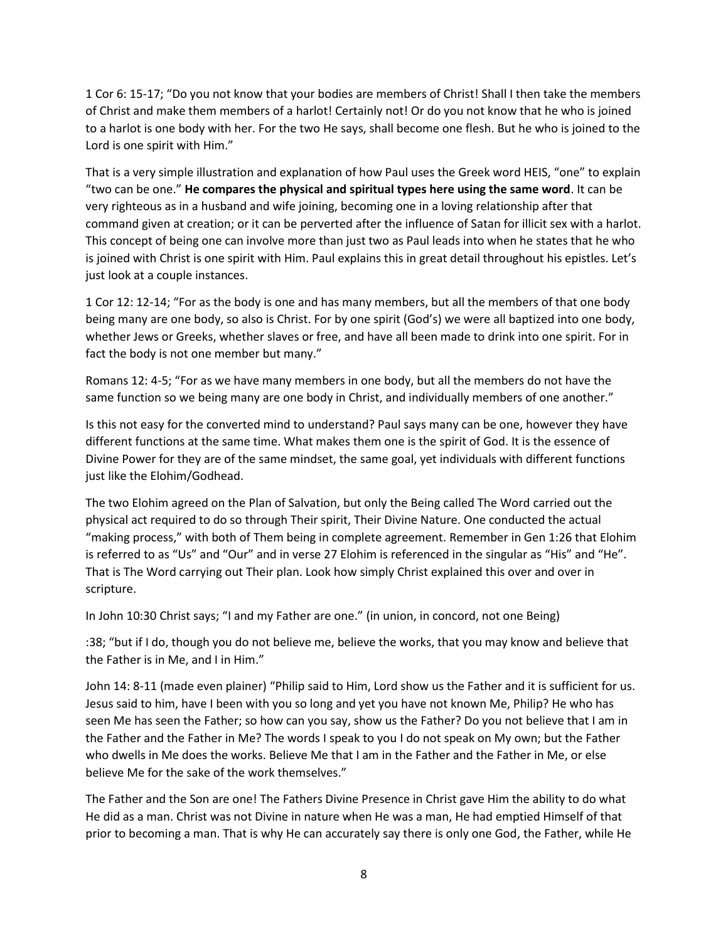1 Cor 6: 15-17; "Do you not know that your bodies are members of Christ! Shall I then take the members of Christ and make them members of a harlot! Certainly not! Or do you not know that he who is joined to a harlot is one body with her. For the two He says, shall become one flesh. But he who is joined to the Lord is one spirit with Him."

That is a very simple illustration and explanation of how Paul uses the Greek word HEIS, "one" to explain "two can be one." **He compares the physical and spiritual types here using the same word**. It can be very righteous as in a husband and wife joining, becoming one in a loving relationship after that command given at creation; or it can be perverted after the influence of Satan for illicit sex with a harlot. This concept of being one can involve more than just two as Paul leads into when he states that he who is joined with Christ is one spirit with Him. Paul explains this in great detail throughout his epistles. Let's just look at a couple instances.

1 Cor 12: 12-14; "For as the body is one and has many members, but all the members of that one body being many are one body, so also is Christ. For by one spirit (God's) we were all baptized into one body, whether Jews or Greeks, whether slaves or free, and have all been made to drink into one spirit. For in fact the body is not one member but many."

Romans 12: 4-5; "For as we have many members in one body, but all the members do not have the same function so we being many are one body in Christ, and individually members of one another."

Is this not easy for the converted mind to understand? Paul says many can be one, however they have different functions at the same time. What makes them one is the spirit of God. It is the essence of Divine Power for they are of the same mindset, the same goal, yet individuals with different functions just like the Elohim/Godhead.

The two Elohim agreed on the Plan of Salvation, but only the Being called The Word carried out the physical act required to do so through Their spirit, Their Divine Nature. One conducted the actual "making process," with both of Them being in complete agreement. Remember in Gen 1:26 that Elohim is referred to as "Us" and "Our" and in verse 27 Elohim is referenced in the singular as "His" and "He". That is The Word carrying out Their plan. Look how simply Christ explained this over and over in scripture.

In John 10:30 Christ says; "I and my Father are one." (in union, in concord, not one Being)

:38; "but if I do, though you do not believe me, believe the works, that you may know and believe that the Father is in Me, and I in Him."

John 14: 8-11 (made even plainer) "Philip said to Him, Lord show us the Father and it is sufficient for us. Jesus said to him, have I been with you so long and yet you have not known Me, Philip? He who has seen Me has seen the Father; so how can you say, show us the Father? Do you not believe that I am in the Father and the Father in Me? The words I speak to you I do not speak on My own; but the Father who dwells in Me does the works. Believe Me that I am in the Father and the Father in Me, or else believe Me for the sake of the work themselves."

The Father and the Son are one! The Fathers Divine Presence in Christ gave Him the ability to do what He did as a man. Christ was not Divine in nature when He was a man, He had emptied Himself of that prior to becoming a man. That is why He can accurately say there is only one God, the Father, while He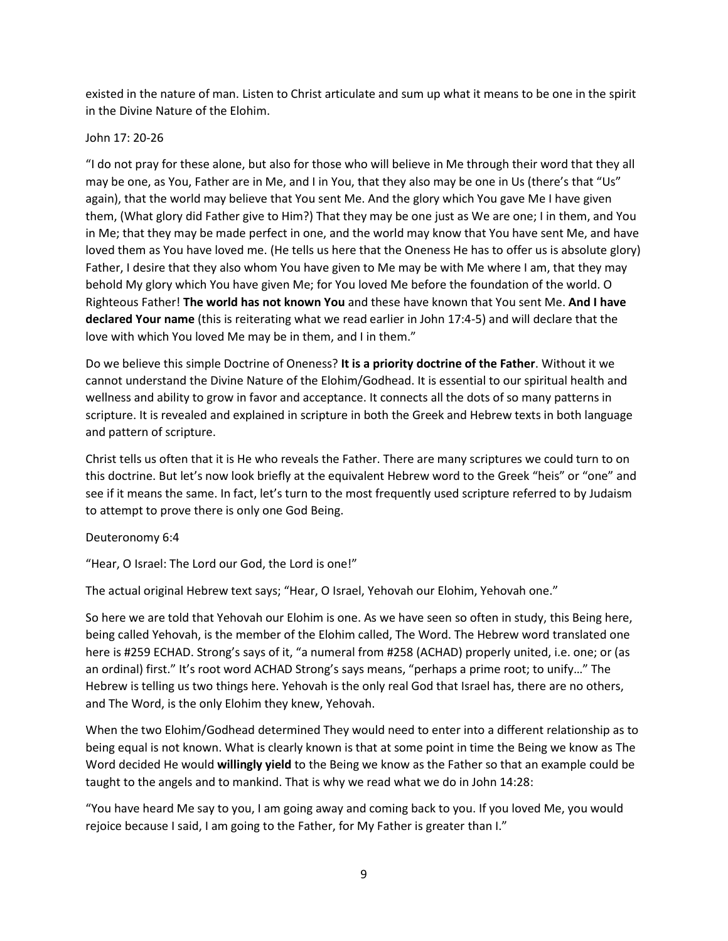existed in the nature of man. Listen to Christ articulate and sum up what it means to be one in the spirit in the Divine Nature of the Elohim.

## John 17: 20-26

"I do not pray for these alone, but also for those who will believe in Me through their word that they all may be one, as You, Father are in Me, and I in You, that they also may be one in Us (there's that "Us" again), that the world may believe that You sent Me. And the glory which You gave Me I have given them, (What glory did Father give to Him?) That they may be one just as We are one; I in them, and You in Me; that they may be made perfect in one, and the world may know that You have sent Me, and have loved them as You have loved me. (He tells us here that the Oneness He has to offer us is absolute glory) Father, I desire that they also whom You have given to Me may be with Me where I am, that they may behold My glory which You have given Me; for You loved Me before the foundation of the world. O Righteous Father! **The world has not known You** and these have known that You sent Me. **And I have declared Your name** (this is reiterating what we read earlier in John 17:4-5) and will declare that the love with which You loved Me may be in them, and I in them."

Do we believe this simple Doctrine of Oneness? **It is a priority doctrine of the Father**. Without it we cannot understand the Divine Nature of the Elohim/Godhead. It is essential to our spiritual health and wellness and ability to grow in favor and acceptance. It connects all the dots of so many patterns in scripture. It is revealed and explained in scripture in both the Greek and Hebrew texts in both language and pattern of scripture.

Christ tells us often that it is He who reveals the Father. There are many scriptures we could turn to on this doctrine. But let's now look briefly at the equivalent Hebrew word to the Greek "heis" or "one" and see if it means the same. In fact, let's turn to the most frequently used scripture referred to by Judaism to attempt to prove there is only one God Being.

#### Deuteronomy 6:4

"Hear, O Israel: The Lord our God, the Lord is one!"

The actual original Hebrew text says; "Hear, O Israel, Yehovah our Elohim, Yehovah one."

So here we are told that Yehovah our Elohim is one. As we have seen so often in study, this Being here, being called Yehovah, is the member of the Elohim called, The Word. The Hebrew word translated one here is #259 ECHAD. Strong's says of it, "a numeral from #258 (ACHAD) properly united, i.e. one; or (as an ordinal) first." It's root word ACHAD Strong's says means, "perhaps a prime root; to unify…" The Hebrew is telling us two things here. Yehovah is the only real God that Israel has, there are no others, and The Word, is the only Elohim they knew, Yehovah.

When the two Elohim/Godhead determined They would need to enter into a different relationship as to being equal is not known. What is clearly known is that at some point in time the Being we know as The Word decided He would **willingly yield** to the Being we know as the Father so that an example could be taught to the angels and to mankind. That is why we read what we do in John 14:28:

"You have heard Me say to you, I am going away and coming back to you. If you loved Me, you would rejoice because I said, I am going to the Father, for My Father is greater than I."